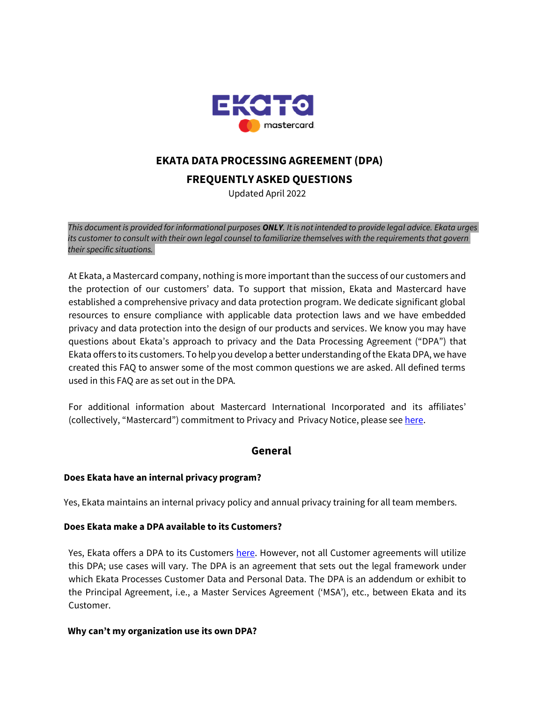

# **EKATA DATA PROCESSING AGREEMENT (DPA)**

**FREQUENTLY ASKED QUESTIONS**

Updated April 2022

*This document is provided for informational purposes ONLY. It is not intended to provide legal advice. Ekata urges its customer to consult with their own legal counsel to familiarize themselves with the requirements that govern their specific situations.* 

At Ekata, a Mastercard company, nothing is more important than the success of our customers and the protection of our customers' data. To support that mission, Ekata and Mastercard have established a comprehensive privacy and data protection program. We dedicate significant global resources to ensure compliance with applicable data protection laws and we have embedded privacy and data protection into the design of our products and services. We know you may have questions about Ekata's approach to privacy and the Data Processing Agreement ("DPA") that Ekata offers to its customers. To help you develop a better understanding of the Ekata DPA, we have created this FAQ to answer some of the most common questions we are asked. All defined terms used in this FAQ are as set out in the DPA.

For additional information about Mastercard International Incorporated and its affiliates' (collectively, "Mastercard") commitment to Privacy and Privacy Notice, please se[e here.](https://www.mastercard.us/en-us/vision/corp-responsibility/commitment-to-privacy.html)

# **General**

## **Does Ekata have an internal privacy program?**

Yes, Ekata maintains an internal privacy policy and annual privacy training for all team members.

## **Does Ekata make a DPA available to its Customers?**

Yes, Ekata offers a DPA to its Customers [here.](https://content.ekata.com/rs/756-OJA-475/images/Ekata_Standalone_C2C_Global_Customer_DPA_Feb182022.pdf) However, not all Customer agreements will utilize this DPA; use cases will vary. The DPA is an agreement that sets out the legal framework under which Ekata Processes Customer Data and Personal Data. The DPA is an addendum or exhibit to the Principal Agreement, i.e., a Master Services Agreement ('MSA'), etc., between Ekata and its Customer.

## **Why can't my organization use its own DPA?**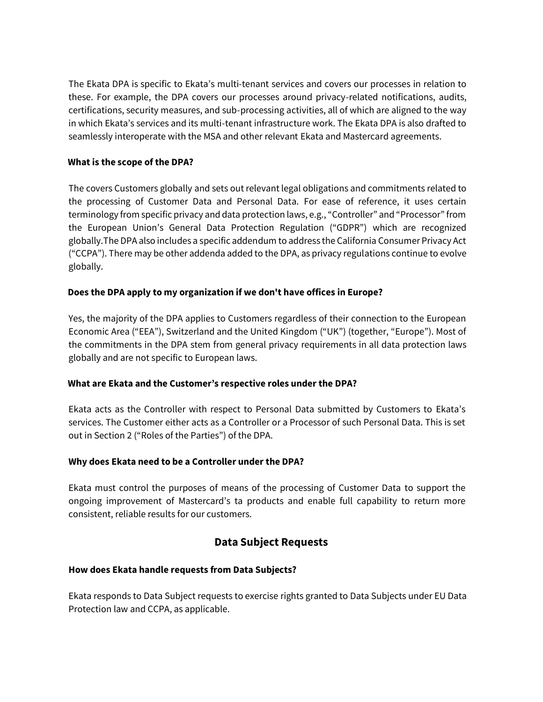The Ekata DPA is specific to Ekata's multi-tenant services and covers our processes in relation to these. For example, the DPA covers our processes around privacy-related notifications, audits, certifications, security measures, and sub-processing activities, all of which are aligned to the way in which Ekata's services and its multi-tenant infrastructure work. The Ekata DPA is also drafted to seamlessly interoperate with the MSA and other relevant Ekata and Mastercard agreements.

## **What is the scope of the DPA?**

The covers Customers globally and sets out relevant legal obligations and commitments related to the processing of Customer Data and Personal Data. For ease of reference, it uses certain terminology from specific privacy and data protection laws, e.g., "Controller" and "Processor" from the European Union's General Data Protection Regulation ("GDPR") which are recognized globally.The DPA also includes a specific addendum to address the California Consumer Privacy Act ("CCPA"). There may be other addenda added to the DPA, as privacy regulations continue to evolve globally.

## **Does the DPA apply to my organization if we don't have offices in Europe?**

Yes, the majority of the DPA applies to Customers regardless of their connection to the European Economic Area ("EEA"), Switzerland and the United Kingdom ("UK") (together, "Europe"). Most of the commitments in the DPA stem from general privacy requirements in all data protection laws globally and are not specific to European laws.

#### **What are Ekata and the Customer's respective roles under the DPA?**

Ekata acts as the Controller with respect to Personal Data submitted by Customers to Ekata's services. The Customer either acts as a Controller or a Processor of such Personal Data. This is set out in Section 2 ("Roles of the Parties") of the DPA.

#### **Why does Ekata need to be a Controller under the DPA?**

Ekata must control the purposes of means of the processing of Customer Data to support the ongoing improvement of Mastercard's ta products and enable full capability to return more consistent, reliable results for our customers.

# **Data Subject Requests**

## **How does Ekata handle requests from Data Subjects?**

Ekata responds to Data Subject requests to exercise rights granted to Data Subjects under EU Data Protection law and CCPA, as applicable.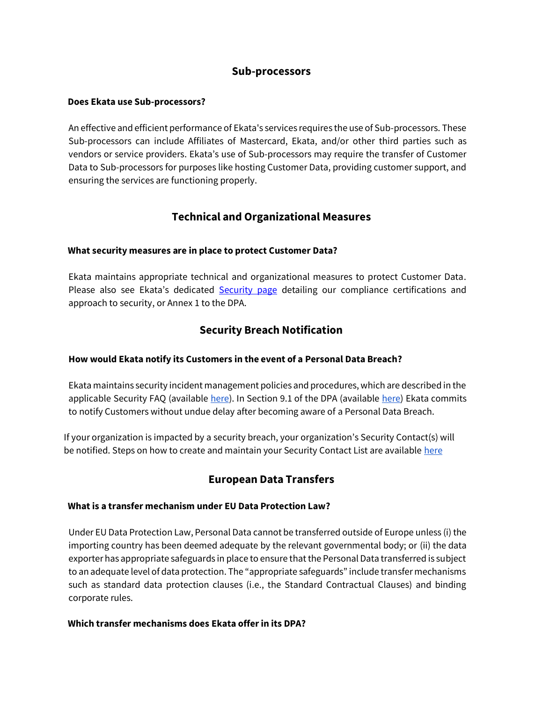## **Sub-processors**

#### **Does Ekata use Sub-processors?**

An effective and efficient performance of Ekata's services requires the use of Sub-processors. These Sub-processors can include Affiliates of Mastercard, Ekata, and/or other third parties such as vendors or service providers. Ekata's use of Sub-processors may require the transfer of Customer Data to Sub-processors for purposes like hosting Customer Data, providing customer support, and ensuring the services are functioning properly.

# **Technical and Organizational Measures**

#### **What security measures are in place to protect Customer Data?**

Ekata maintains appropriate technical and organizational measures to protect Customer Data. Please also see Ekata's dedicated [Security page](https://ekata.com/security-and-privacy/#Security) detailing our compliance certifications and approach to security, or Annex 1 to the DPA.

# **Security Breach Notification**

#### **How would Ekata notify its Customers in the event of a Personal Data Breach?**

Ekata maintains security incident management policies and procedures, which are described in the applicable Security FAQ (available [here\)](https://content.ekata.com/rs/756-OJA-475/images/Ekata_Standalone_C2C_Global_Customer_DPA_Feb182022.pdf). In Section 9.1 of the DPA (available here) Ekata commits to notify Customers without undue delay after becoming aware of a Personal Data Breach.

If your organization is impacted by a security breach, your organization's Security Contact(s) will be notified. Steps on how to create and maintain your Security Contact List are available [here](https://help.salesforce.com/s/articleView?id=000349483&type=1)

# **European Data Transfers**

#### **What is a transfer mechanism under EU Data Protection Law?**

Under EU Data Protection Law, Personal Data cannot be transferred outside of Europe unless (i) the importing country has been deemed adequate by the relevant governmental body; or (ii) the data exporter has appropriate safeguards in place to ensure that the Personal Data transferred is subject to an adequate level of data protection. The "appropriate safeguards" include transfer mechanisms such as standard data protection clauses (i.e., the Standard Contractual Clauses) and binding corporate rules.

#### **Which transfer mechanisms does Ekata offer in its DPA?**